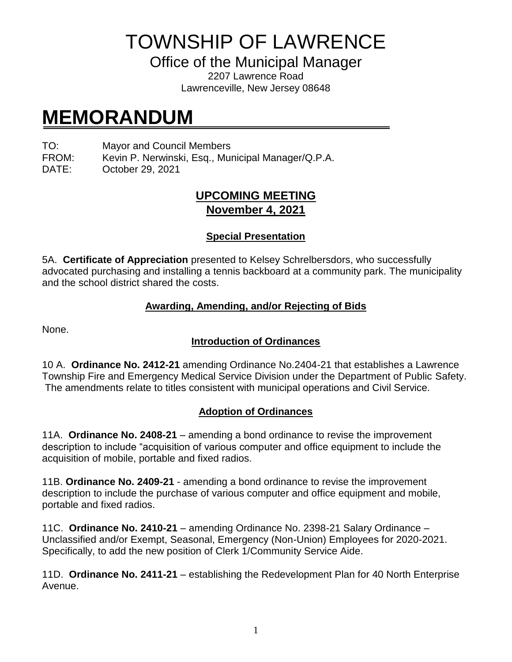TOWNSHIP OF LAWRENCE

Office of the Municipal Manager

2207 Lawrence Road Lawrenceville, New Jersey 08648

# **MEMORANDUM**

TO: Mayor and Council Members

FROM: Kevin P. Nerwinski, Esq., Municipal Manager/Q.P.A.

DATE: October 29, 2021

## **UPCOMING MEETING November 4, 2021**

### **Special Presentation**

5A. **Certificate of Appreciation** presented to Kelsey Schrelbersdors, who successfully advocated purchasing and installing a tennis backboard at a community park. The municipality and the school district shared the costs.

#### **Awarding, Amending, and/or Rejecting of Bids**

None.

#### **Introduction of Ordinances**

10 A. **Ordinance No. 2412-21** amending Ordinance No.2404-21 that establishes a Lawrence Township Fire and Emergency Medical Service Division under the Department of Public Safety. The amendments relate to titles consistent with municipal operations and Civil Service.

#### **Adoption of Ordinances**

11A. **Ordinance No. 2408-21** – amending a bond ordinance to revise the improvement description to include "acquisition of various computer and office equipment to include the acquisition of mobile, portable and fixed radios.

11B. **Ordinance No. 2409-21** - amending a bond ordinance to revise the improvement description to include the purchase of various computer and office equipment and mobile, portable and fixed radios.

11C. **Ordinance No. 2410-21** – amending Ordinance No. 2398-21 Salary Ordinance – Unclassified and/or Exempt, Seasonal, Emergency (Non-Union) Employees for 2020-2021. Specifically, to add the new position of Clerk 1/Community Service Aide.

11D. **Ordinance No. 2411-21** – establishing the Redevelopment Plan for 40 North Enterprise Avenue.